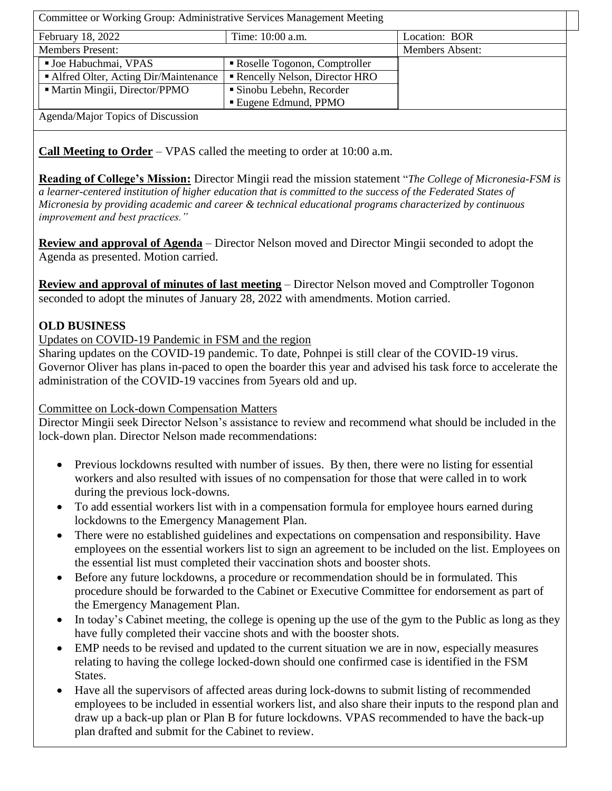Committee or Working Group: Administrative Services Management Meeting February 18, 2022 Time: 10:00 a.m. Location: BOR Members Present: Members Absent: ■ Joe Habuchmai, VPAS Roselle Togonon, Comptroller Alfred Olter, Acting Dir/Maintenance | Rencelly Nelson, Director HRO Martin Mingii, Director/PPMO Sinobu Lebehn, Recorder Eugene Edmund, PPMO Agenda/Major Topics of Discussion

**Call Meeting to Order** – VPAS called the meeting to order at 10:00 a.m.

**Reading of College's Mission:** Director Mingii read the mission statement "*The College of Micronesia-FSM is a learner-centered institution of higher education that is committed to the success of the Federated States of Micronesia by providing academic and career & technical educational programs characterized by continuous improvement and best practices."*

**Review and approval of Agenda** – Director Nelson moved and Director Mingii seconded to adopt the Agenda as presented. Motion carried.

**Review and approval of minutes of last meeting** – Director Nelson moved and Comptroller Togonon seconded to adopt the minutes of January 28, 2022 with amendments. Motion carried.

#### **OLD BUSINESS**

Updates on COVID-19 Pandemic in FSM and the region

Sharing updates on the COVID-19 pandemic. To date, Pohnpei is still clear of the COVID-19 virus. Governor Oliver has plans in-paced to open the boarder this year and advised his task force to accelerate the administration of the COVID-19 vaccines from 5years old and up.

#### Committee on Lock-down Compensation Matters

Director Mingii seek Director Nelson's assistance to review and recommend what should be included in the lock-down plan. Director Nelson made recommendations:

- Previous lockdowns resulted with number of issues. By then, there were no listing for essential workers and also resulted with issues of no compensation for those that were called in to work during the previous lock-downs.
- To add essential workers list with in a compensation formula for employee hours earned during lockdowns to the Emergency Management Plan.
- There were no established guidelines and expectations on compensation and responsibility. Have employees on the essential workers list to sign an agreement to be included on the list. Employees on the essential list must completed their vaccination shots and booster shots.
- Before any future lockdowns, a procedure or recommendation should be in formulated. This procedure should be forwarded to the Cabinet or Executive Committee for endorsement as part of the Emergency Management Plan.
- In today's Cabinet meeting, the college is opening up the use of the gym to the Public as long as they have fully completed their vaccine shots and with the booster shots.
- EMP needs to be revised and updated to the current situation we are in now, especially measures relating to having the college locked-down should one confirmed case is identified in the FSM States.
- Have all the supervisors of affected areas during lock-downs to submit listing of recommended employees to be included in essential workers list, and also share their inputs to the respond plan and draw up a back-up plan or Plan B for future lockdowns. VPAS recommended to have the back-up plan drafted and submit for the Cabinet to review.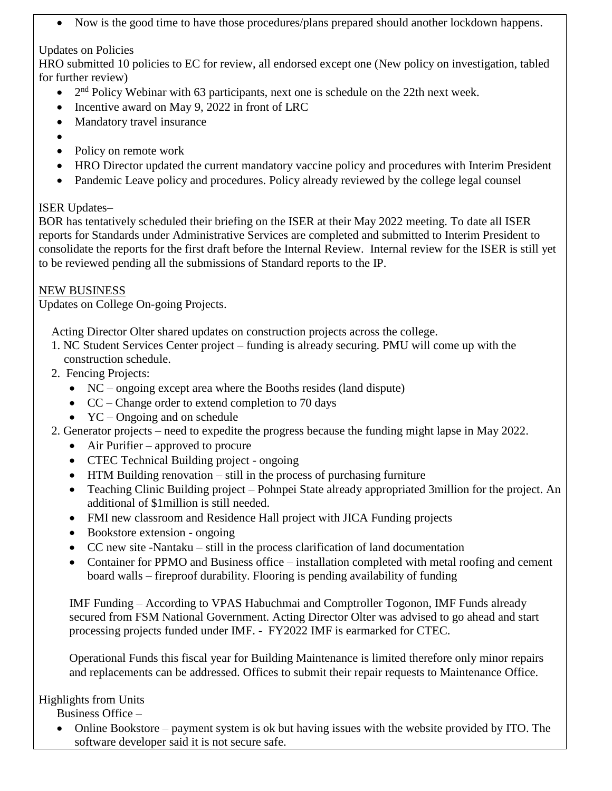Now is the good time to have those procedures/plans prepared should another lockdown happens.

## Updates on Policies

HRO submitted 10 policies to EC for review, all endorsed except one (New policy on investigation, tabled for further review)

- $\bullet$  2<sup>nd</sup> Policy Webinar with 63 participants, next one is schedule on the 22th next week.
- Incentive award on May 9, 2022 in front of LRC
- Mandatory travel insurance
- $\bullet$
- Policy on remote work
- HRO Director updated the current mandatory vaccine policy and procedures with Interim President
- Pandemic Leave policy and procedures. Policy already reviewed by the college legal counsel

## ISER Updates–

BOR has tentatively scheduled their briefing on the ISER at their May 2022 meeting. To date all ISER reports for Standards under Administrative Services are completed and submitted to Interim President to consolidate the reports for the first draft before the Internal Review. Internal review for the ISER is still yet to be reviewed pending all the submissions of Standard reports to the IP.

### NEW BUSINESS

Updates on College On-going Projects.

Acting Director Olter shared updates on construction projects across the college.

- 1. NC Student Services Center project funding is already securing. PMU will come up with the construction schedule.
- 2. Fencing Projects:
	- NC ongoing except area where the Booths resides (land dispute)
	- CC Change order to extend completion to 70 days
	- $\bullet$  YC Ongoing and on schedule
- 2. Generator projects need to expedite the progress because the funding might lapse in May 2022.
	- Air Purifier approved to procure
	- CTEC Technical Building project ongoing
	- HTM Building renovation still in the process of purchasing furniture
	- Teaching Clinic Building project Pohnpei State already appropriated 3million for the project. An additional of \$1million is still needed.
	- FMI new classroom and Residence Hall project with JICA Funding projects
	- Bookstore extension ongoing
	- CC new site -Nantaku still in the process clarification of land documentation
	- Container for PPMO and Business office installation completed with metal roofing and cement board walls – fireproof durability. Flooring is pending availability of funding

IMF Funding – According to VPAS Habuchmai and Comptroller Togonon, IMF Funds already secured from FSM National Government. Acting Director Olter was advised to go ahead and start processing projects funded under IMF. - FY2022 IMF is earmarked for CTEC.

Operational Funds this fiscal year for Building Maintenance is limited therefore only minor repairs and replacements can be addressed. Offices to submit their repair requests to Maintenance Office.

# Highlights from Units

Business Office –

 Online Bookstore – payment system is ok but having issues with the website provided by ITO. The software developer said it is not secure safe.